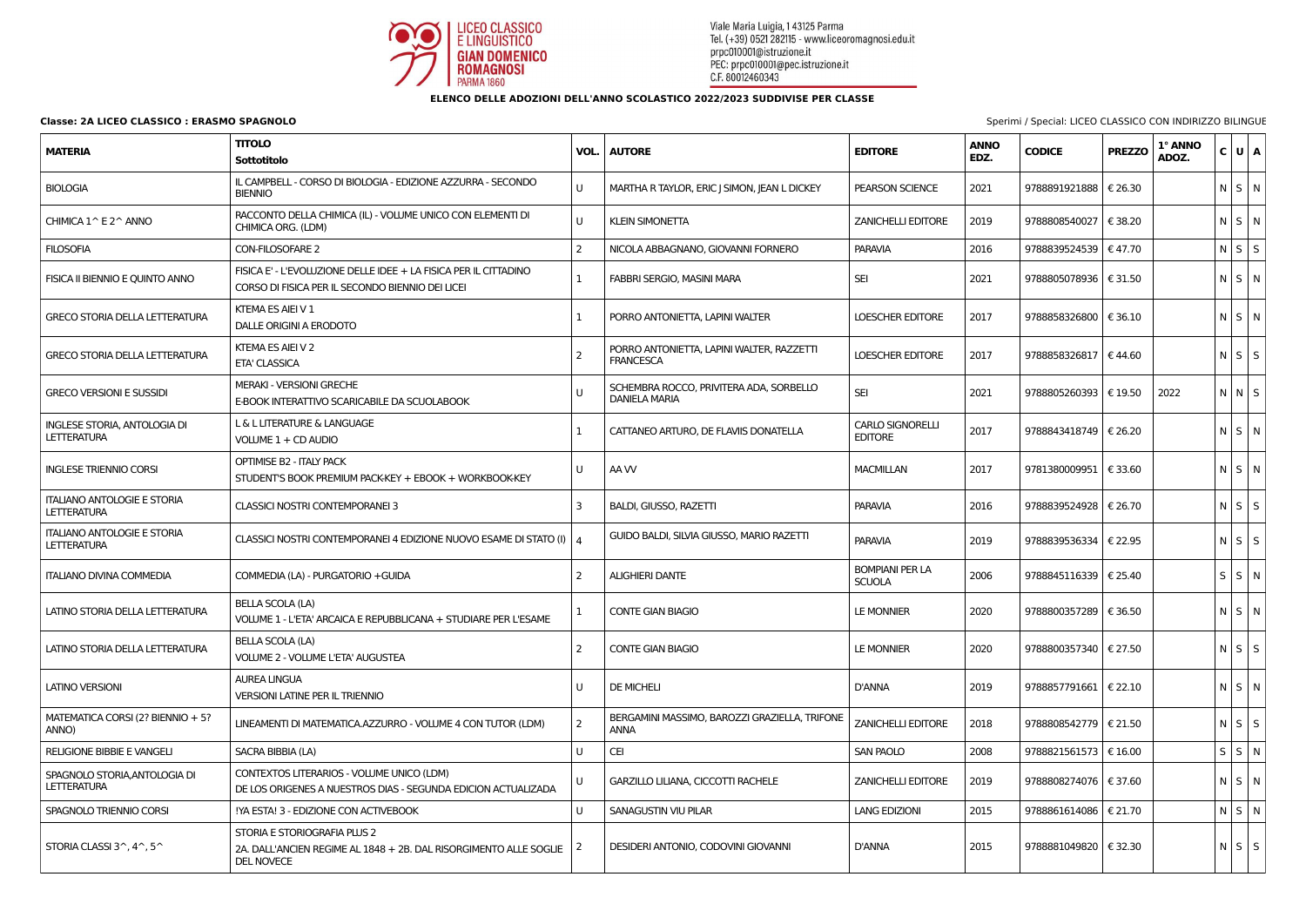

## **ELENCO DELLE ADOZIONI DELL'ANNO SCOLASTICO 2022/2023 SUDDIVISE PER CLASSE**

| <b>MATERIA</b>                                            | <b>TITOLO</b><br>Sottotitolo                                                                                           | VOL. | <b>AUTORE</b>                                                   | <b>EDITORE</b>                            | <b>ANNO</b><br>EDZ. | <b>CODICE</b>             | <b>PREZZO</b> | 1° ANNO<br>ADOZ. | $C$ U $A$      |  |
|-----------------------------------------------------------|------------------------------------------------------------------------------------------------------------------------|------|-----------------------------------------------------------------|-------------------------------------------|---------------------|---------------------------|---------------|------------------|----------------|--|
| <b>BIOLOGIA</b>                                           | IL CAMPBELL - CORSO DI BIOLOGIA - EDIZIONE AZZURRA - SECONDO<br><b>BIENNIO</b>                                         | U    | MARTHA R TAYLOR, ERIC J SIMON, JEAN L DICKEY                    | PEARSON SCIENCE                           | 2021                | 9788891921888   € 26.30   |               |                  | $N$ S $\mid N$ |  |
| CHIMICA 1^ E 2^ ANNO                                      | RACCONTO DELLA CHIMICA (IL) - VOLUME UNICO CON ELEMENTI DI<br>CHIMICA ORG. (LDM)                                       | U    | <b>KLEIN SIMONETTA</b>                                          | <b>ZANICHELLI EDITORE</b>                 | 2019                | 9788808540027   € 38.20   |               |                  | $N$ $S$ $N$    |  |
| <b>FILOSOFIA</b>                                          | CON-FILOSOFARE 2                                                                                                       | 2    | NICOLA ABBAGNANO, GIOVANNI FORNERO                              | <b>PARAVIA</b>                            | 2016                | 9788839524539   € 47.70   |               |                  | $N$ $S$ $S$    |  |
| FISICA II BIENNIO E QUINTO ANNO                           | FISICA E' - L'EVOLUZIONE DELLE IDEE + LA FISICA PER IL CITTADINO<br>CORSO DI FISICA PER IL SECONDO BIENNIO DEI LICEI   |      | <b>FABBRI SERGIO, MASINI MARA</b>                               | <b>SEI</b>                                | 2021                | 9788805078936   € 31.50   |               |                  | $N$ $S$ $N$    |  |
| <b>GRECO STORIA DELLA LETTERATURA</b>                     | KTEMA ES AIEI V 1<br>DALLE ORIGINI A ERODOTO                                                                           |      | PORRO ANTONIETTA, LAPINI WALTER                                 | <b>LOESCHER EDITORE</b>                   | 2017                | 9788858326800   € 36.10   |               |                  | $N$ S $\mid N$ |  |
| <b>GRECO STORIA DELLA LETTERATURA</b>                     | KTEMA ES AIEI V 2<br><b>ETA' CLASSICA</b>                                                                              |      | PORRO ANTONIETTA, LAPINI WALTER, RAZZETTI<br><b>FRANCESCA</b>   | <b>LOESCHER EDITORE</b>                   | 2017                | 9788858326817   €44.60    |               |                  | $N$ $S$ $S$    |  |
| <b>GRECO VERSIONI E SUSSIDI</b>                           | MERAKI - VERSIONI GRECHE<br>E-BOOK INTERATTIVO SCARICABILE DA SCUOLABOOK                                               |      | SCHEMBRA ROCCO, PRIVITERA ADA, SORBELLO<br><b>DANIELA MARIA</b> | <b>SEI</b>                                | 2021                | 9788805260393   € 19.50   |               | 2022             | N N S          |  |
| <b>INGLESE STORIA, ANTOLOGIA DI</b><br><b>LETTERATURA</b> | L & L LITERATURE & LANGUAGE<br>VOLUME 1 + CD AUDIO                                                                     |      | CATTANEO ARTURO, DE FLAVIIS DONATELLA                           | <b>CARLO SIGNORELLI</b><br><b>EDITORE</b> | 2017                | 9788843418749   € 26.20   |               |                  | $N$ $S$ $N$    |  |
| <b>INGLESE TRIENNIO CORSI</b>                             | <b>OPTIMISE B2 - ITALY PACK</b><br>STUDENT'S BOOK PREMIUM PACK-KEY + EBOOK + WORKBOOK-KEY                              | U    | AA W                                                            | <b>MACMILLAN</b>                          | 2017                | 9781380009951   € 33.60   |               |                  | $N$ $S$ $N$    |  |
| <b>ITALIANO ANTOLOGIE E STORIA</b><br><b>LETTERATURA</b>  | <b>CLASSICI NOSTRI CONTEMPORANEI 3</b>                                                                                 |      | <b>BALDI, GIUSSO, RAZETTI</b>                                   | <b>PARAVIA</b>                            | 2016                | 9788839524928   € 26.70   |               |                  | $N$ $S$ $S$    |  |
| <b>ITALIANO ANTOLOGIE E STORIA</b><br><b>LETTERATURA</b>  | CLASSICI NOSTRI CONTEMPORANEI 4 EDIZIONE NUOVO ESAME DI STATO (I)   4                                                  |      | GUIDO BALDI, SILVIA GIUSSO, MARIO RAZETTI                       | <b>PARAVIA</b>                            | 2019                | 9788839536334   € 22.95   |               |                  | $N$ $S$ $S$    |  |
| <b>ITALIANO DIVINA COMMEDIA</b>                           | COMMEDIA (LA) - PURGATORIO + GUIDA                                                                                     | 2    | <b>ALIGHIERI DANTE</b>                                          | <b>BOMPIANI PER LA</b><br><b>SCUOLA</b>   | 2006                | 9788845116339   € 25.40   |               |                  | $S$ $S$ $N$    |  |
| LATINO STORIA DELLA LETTERATURA                           | <b>BELLA SCOLA (LA)</b><br>VOLUME 1 - L'ETA' ARCAICA E REPUBBLICANA + STUDIARE PER L'ESAME                             |      | <b>CONTE GIAN BIAGIO</b>                                        | <b>LE MONNIER</b>                         | 2020                | 9788800357289   € 36.50   |               |                  | $N$ S $\mid N$ |  |
| LATINO STORIA DELLA LETTERATURA                           | <b>BELLA SCOLA (LA)</b><br>VOLUME 2 - VOLUME L'ETA' AUGUSTEA                                                           |      | <b>CONTE GIAN BIAGIO</b>                                        | <b>LE MONNIER</b>                         | 2020                | 9788800357340   € 27.50   |               |                  | $N$ $S$ $S$    |  |
| <b>LATINO VERSIONI</b>                                    | <b>AUREA LINGUA</b><br><b>VERSIONI LATINE PER IL TRIENNIO</b>                                                          | U    | <b>DE MICHELI</b>                                               | <b>D'ANNA</b>                             | 2019                | 9788857791661   € 22.10   |               |                  | $N$ S $\mid N$ |  |
| MATEMATICA CORSI (2? BIENNIO + 5?<br>ANNO)                | LINEAMENTI DI MATEMATICA.AZZURRO - VOLUME 4 CON TUTOR (LDM)                                                            |      | BERGAMINI MASSIMO, BAROZZI GRAZIELLA, TRIFONE<br><b>ANNA</b>    | <b>ZANICHELLI EDITORE</b>                 | 2018                | 9788808542779 $\in$ 21.50 |               |                  | $N$ S $S$      |  |
| <b>RELIGIONE BIBBIE E VANGELI</b>                         | SACRA BIBBIA (LA)                                                                                                      | U    | <b>CEI</b>                                                      | <b>SAN PAOLO</b>                          | 2008                | 9788821561573   € 16.00   |               |                  | $S$ $S$ $N$    |  |
| SPAGNOLO STORIA, ANTOLOGIA DI<br><b>LETTERATURA</b>       | CONTEXTOS LITERARIOS - VOLUME UNICO (LDM)<br>DE LOS ORIGENES A NUESTROS DIAS - SEGUNDA EDICION ACTUALIZADA             |      | GARZILLO LILIANA, CICCOTTI RACHELE                              | <b>ZANICHELLI EDITORE</b>                 | 2019                | 9788808274076   € 37.60   |               |                  | $N$ $S$ $N$    |  |
| SPAGNOLO TRIENNIO CORSI                                   | !YA ESTA! 3 - EDIZIONE CON ACTIVEBOOK                                                                                  | U    | SANAGUSTIN VIU PILAR                                            | <b>LANG EDIZIONI</b>                      | 2015                | 9788861614086   € 21.70   |               |                  | $N$ $S$ $N$    |  |
| STORIA CLASSI $3^{\wedge}$ , $4^{\wedge}$ , $5^{\wedge}$  | STORIA E STORIOGRAFIA PLUS 2<br>2A. DALL'ANCIEN REGIME AL 1848 + 2B. DAL RISORGIMENTO ALLE SOGLIE<br><b>DEL NOVECE</b> | 2    | DESIDERI ANTONIO, CODOVINI GIOVANNI                             | <b>D'ANNA</b>                             | 2015                | 9788881049820   € 32.30   |               |                  | $N$ $S$ $S$    |  |

**Classe: 2A LICEO CLASSICO : ERASMO SPAGNOLO** Sperimi / Special: LICEO CLASSICO CON INDIRIZZO BILINGUE